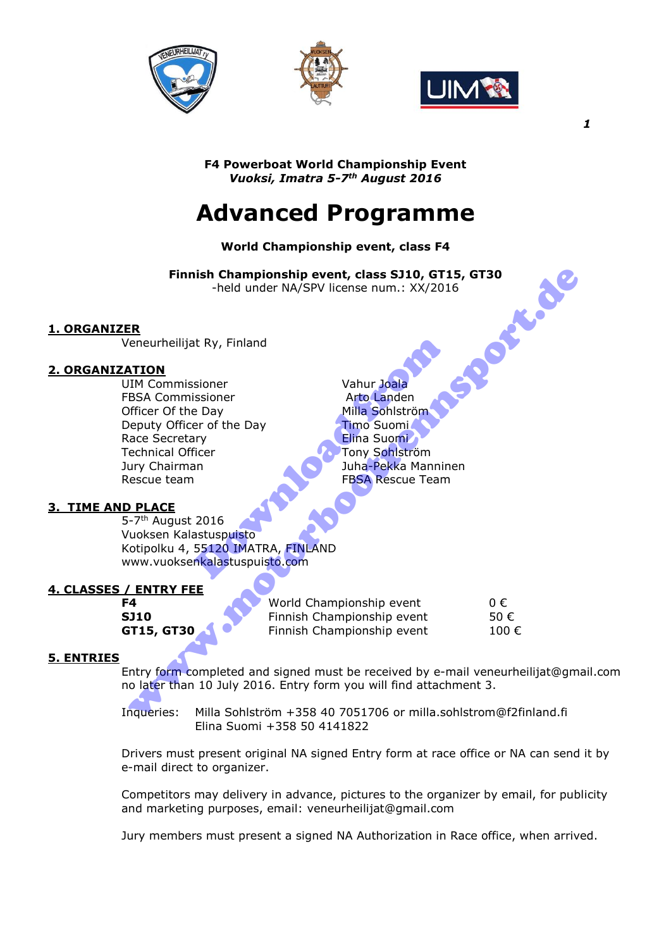





*1* 

**F4 Powerboat World Championship Event**  *Vuoksi, Imatra 5-7th August 2016* 

# **Advanced Programme**

# **World Championship event, class F4**

**Finnish Championship event, class SJ10, GT15, GT30**<br>
-held under NA/SPV license num.: XX/2016<br>
eilijat Ry, Finland<br>
mmissioner -held under NA/SPV license num.: XX/2016

# **1. ORGANIZER**

Veneurheilijat Ry, Finland

# **2. ORGANIZATION**

UIM Commissioner Vahur Joala FBSA Commissioner and Arto Landen Officer Of the Day Milla Sohlström Deputy Officer of the Day<br>Race Secretary Time Suomi Race Secretary Technical Officer **The Constant Constant Tony Sohlström** Jury Chairman Juha-Pekka Manninen Rescue team FBSA Rescue Team www.motorbootrennsport.de

Example 18 Arto Landen<br>
Sisoner Vahur Joala<br>
Sisoner Arto Landen<br>
Pay Milla Sohlström<br>
Timo Suomi<br>
Timo Suomi<br>
Timo Suomi<br>
Fissa Rescue Team<br>
2016<br>
Astuspuisto<br>
2016<br>
Astuspuisto<br>
55120 IMATRA, FINLAND<br>
Rikalastuspuisto.co

# **3. TIME AND PLACE**

5-7<sup>th</sup> August 2016 Vuoksen Kalastuspuisto Kotipolku 4, 55120 IMATRA, FINLAND www.vuoksenkalastuspuisto.com

# **4. CLASSES / ENTRY FEE**

**F4** Morld Championship event 0 € **SJ10** Finnish Championship event 50 € **GT15, GT30 ACC** Finnish Championship event 100 €

#### **5. ENTRIES**

Entry form completed and signed must be received by e-mail veneurheilijat@gmail.com no later than 10 July 2016. Entry form you will find attachment 3.

Inqueries: Milla Sohlström +358 40 7051706 or milla.sohlstrom@f2finland.fi Elina Suomi +358 50 4141822

Drivers must present original NA signed Entry form at race office or NA can send it by e-mail direct to organizer.

Competitors may delivery in advance, pictures to the organizer by email, for publicity and marketing purposes, email: veneurheilijat@gmail.com

Jury members must present a signed NA Authorization in Race office, when arrived.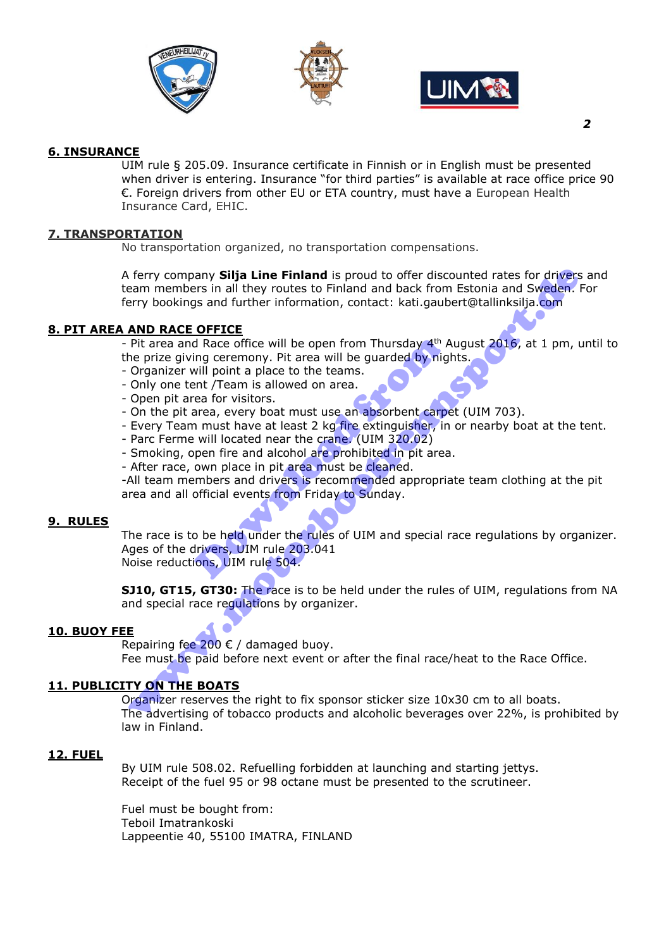





# **6. INSURANCE**

UIM rule § 205.09. Insurance certificate in Finnish or in English must be presented when driver is entering. Insurance "for third parties" is available at race office price 90 €. Foreign drivers from other EU or ETA country, must have a European Health Insurance Card, EHIC.

### **7. TRANSPORTATION**

No transportation organized, no transportation compensations.

A ferry company **Silja Line Finland** is proud to offer discounted rates for drivers and team members in all they routes to Finland and back from Estonia and Sweden. For ferry bookings and further information, contact: kati.gaubert@tallinksilja.com of erry company **Sitja Line Finland** is proud to offer discounted rates for drivers<br>earn members in all they routes to Finland and back from Estonia and Sweden.<br>HOD RACE OFFICE<br>erry bookings and further information, contac

# **8. PIT AREA AND RACE OFFICE**

- Pit area and Race office will be open from Thursday  $4<sup>th</sup>$  August 2016, at 1 pm, until to the prize giving ceremony. Pit area will be guarded by nights.

- Organizer will point a place to the teams.
- Only one tent /Team is allowed on area.
- Open pit area for visitors.
- On the pit area, every boat must use an absorbent carpet (UIM 703).
- Every Team must have at least 2 kg fire extinguisher, in or nearby boat at the tent.
- Parc Ferme will located near the crane. (UIM 320.02)
- Smoking, open fire and alcohol are prohibited in pit area.
- After race, own place in pit area must be cleaned.

-All team members and drivers is recommended appropriate team clothing at the pit area and all official events from Friday to Sunday.

#### **9. RULES**

The race is to be held under the rules of UIM and special race regulations by organizer. Ages of the drivers, UIM rule 203.041 Noise reductions, UIM rule 504. d Race office will be open from Thursday 4<sup>th</sup> A<br>ing ceremony. Pit area will be guarded by nigl<br>will point a place to the teams.<br>ent /Team is allowed on area.<br>rea for visitors.<br>area, every boat must use an absorbent carpe<br>

**SJ10, GT15, GT30:** The race is to be held under the rules of UIM, regulations from NA and special race regulations by organizer.

#### **10. BUOY FEE**

Repairing fee 200  $\epsilon$  / damaged buoy.

Fee must be paid before next event or after the final race/heat to the Race Office.

# **11. PUBLICITY ON THE BOATS**

Organizer reserves the right to fix sponsor sticker size 10x30 cm to all boats. The advertising of tobacco products and alcoholic beverages over 22%, is prohibited by law in Finland.

#### **12. FUEL**

By UIM rule 508.02. Refuelling forbidden at launching and starting jettys. Receipt of the fuel 95 or 98 octane must be presented to the scrutineer.

Fuel must be bought from: Teboil Imatrankoski Lappeentie 40, 55100 IMATRA, FINLAND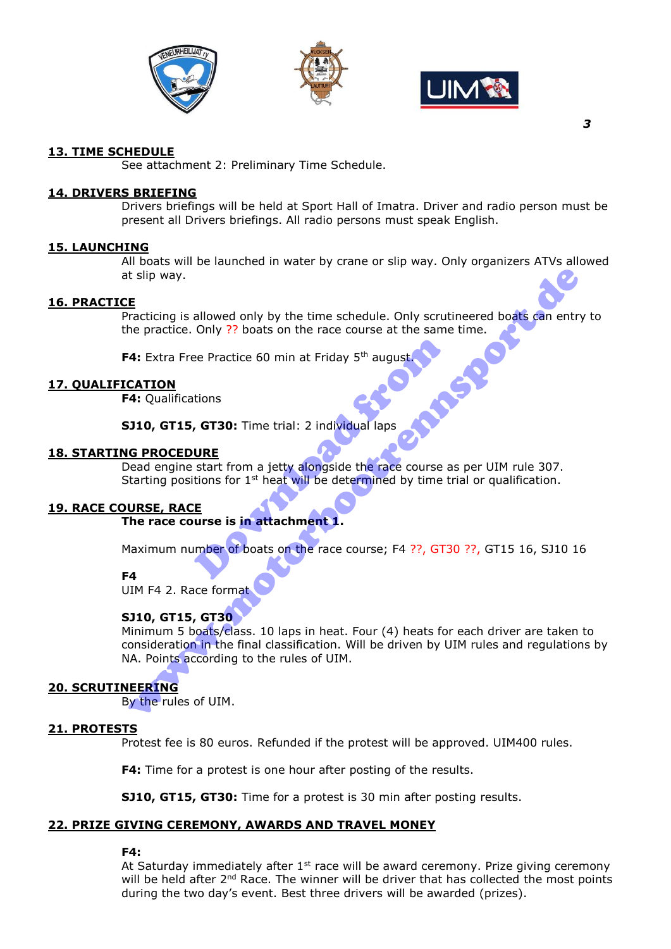





# **13. TIME SCHEDULE**

See attachment 2: Preliminary Time Schedule.

#### **14. DRIVERS BRIEFING**

Drivers briefings will be held at Sport Hall of Imatra. Driver and radio person must be present all Drivers briefings. All radio persons must speak English.

#### **15. LAUNCHING**

All boats will be launched in water by crane or slip way. Only organizers ATVs allowed at slip way.

#### **16. PRACTICE**

Practicing is allowed only by the time schedule. Only scrutineered boats can entry to the practice. Only ?? boats on the race course at the same time.

**F4:** Extra Free Practice 60 min at Friday 5<sup>th</sup> august

#### **17. QUALIFICATION**

**F4:** Qualifications

**SJ10, GT15, GT30:** Time trial: 2 individual laps

#### **18. STARTING PROCEDURE**

Dead engine start from a jetty alongside the race course as per UIM rule 307. Starting positions for  $1<sup>st</sup>$  heat will be determined by time trial or qualification. ee Practice 60 min at Friday 5<sup>th</sup> august<br>tions<br>**GT30:** Time trial: 2 individual laps<br>**URE**<br>start from a jetty alongside the race course a<br>tions for 1<sup>st</sup> heat will be determined by time t<br>**E**<br>**urse is in attachment 1.**<br>mb

#### **19. RACE COURSE, RACE**

#### **The race course is in attachment 1.**

Maximum number of boats on the race course; F4 ??, GT30 ??, GT15 16, SJ10 16

**F4**

UIM F4 2. Race format

#### **SJ10, GT15, GT30**

Minimum 5 boats/class. 10 laps in heat. Four (4) heats for each driver are taken to consideration in the final classification. Will be driven by UIM rules and regulations by NA. Points according to the rules of UIM. E<br>
Tracticing is allowed only by the time schedule. Only scrutineered boats<br>
The practice. Only ?? boats on the race course at the same time.<br>
4: Extra Free Practice 60 min at Friday 5<sup>th</sup> augusts<br>
CATION<br>
4: Qualification

#### **20. SCRUTINEERING**

By the rules of UIM.

#### **21. PROTESTS**

Protest fee is 80 euros. Refunded if the protest will be approved. UIM400 rules.

**F4:** Time for a protest is one hour after posting of the results.

**SJ10, GT15, GT30:** Time for a protest is 30 min after posting results.

# **22. PRIZE GIVING CEREMONY, AWARDS AND TRAVEL MONEY**

#### **F4:**

At Saturday immediately after  $1<sup>st</sup>$  race will be award ceremony. Prize giving ceremony will be held after 2<sup>nd</sup> Race. The winner will be driver that has collected the most points during the two day's event. Best three drivers will be awarded (prizes).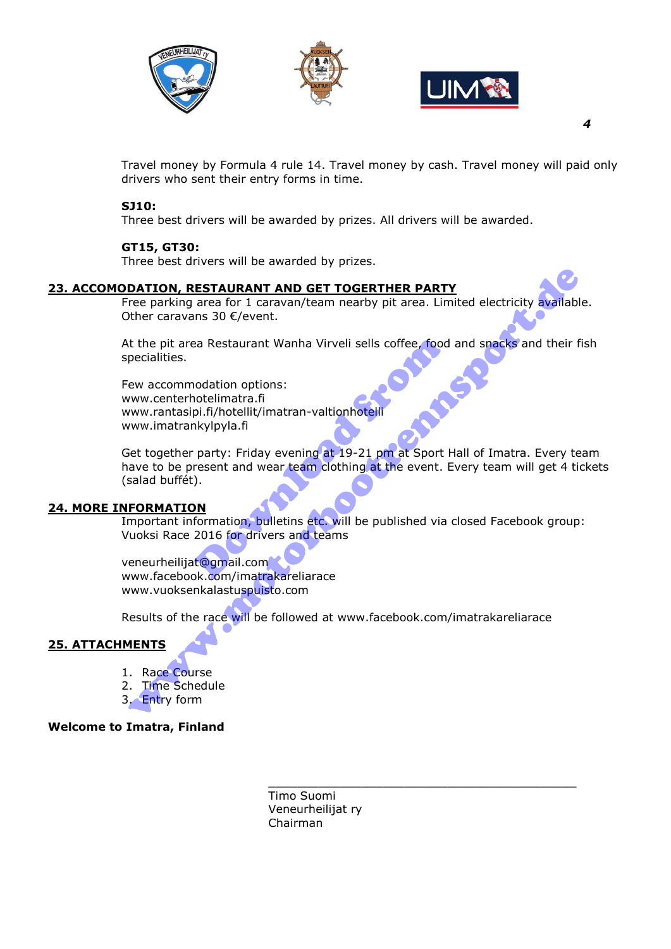





*4* 

Travel money by Formula 4 rule 14. Travel money by cash. Travel money will paid only drivers who sent their entry forms in time.

# **SJ10:**

Three best drivers will be awarded by prizes. All drivers will be awarded.

# **GT15, GT30:**

Three best drivers will be awarded by prizes.

### **23. ACCOMODATION, RESTAURANT AND GET TOGERTHER PARTY**

Free parking area for 1 caravan/team nearby pit area. Limited electricity available. Other caravans 30 €/event.

At the pit area Restaurant Wanha Virveli sells coffee, food and snacks and their fish specialities.

Few accommodation options: www.centerhotelimatra.fi www.rantasipi.fi/hotellit/imatran-valtionhotelli www.imatrankylpyla.fi

Get together party: Friday evening at 19-21 pm at Sport Hall of Imatra. Every team have to be present and wear team clothing at the event. Every team will get 4 tickets (salad buffét). Pa Restaurant Wanha Virveli sells coffee, food<br>
nodation options:<br>
notelimatra.fi<br>
pi.fi/hotellit/imatran-valtionhotelli<br>
nkylpyla.fi<br>
party: Friday evening at 19-21 pm at Sport<br>
resent and wear team clothing at the event. **DATION, RESTAURANT AND GET TOGERTHER PARTY**<br>
Tree parking area for 1 caravan/team nearby pit area. Limited electricity available<br>
the pit area Restaurant Wanha Virveli sells coffee, food and spacks and their f<br>
the pit ar

#### **24. MORE INFORMATION**

Important information, bulletins etc. will be published via closed Facebook group: Vuoksi Race 2016 for drivers and teams

veneurheilijat@gmail.com www.facebook.com/imatrakareliarace www.vuoksenkalastuspuisto.com

Results of the race will be followed at www.facebook.com/imatrakareliarace

# **25. ATTACHMENTS**

- 1. Race Course
- 2. Time Schedule
- 3. Entry form

#### **Welcome to Imatra, Finland**

\_\_\_\_\_\_\_\_\_\_\_\_\_\_\_\_\_\_\_\_\_\_\_\_\_\_\_\_\_\_\_\_\_\_\_\_\_\_\_\_\_\_\_ Timo Suomi Veneurheilijat ry Chairman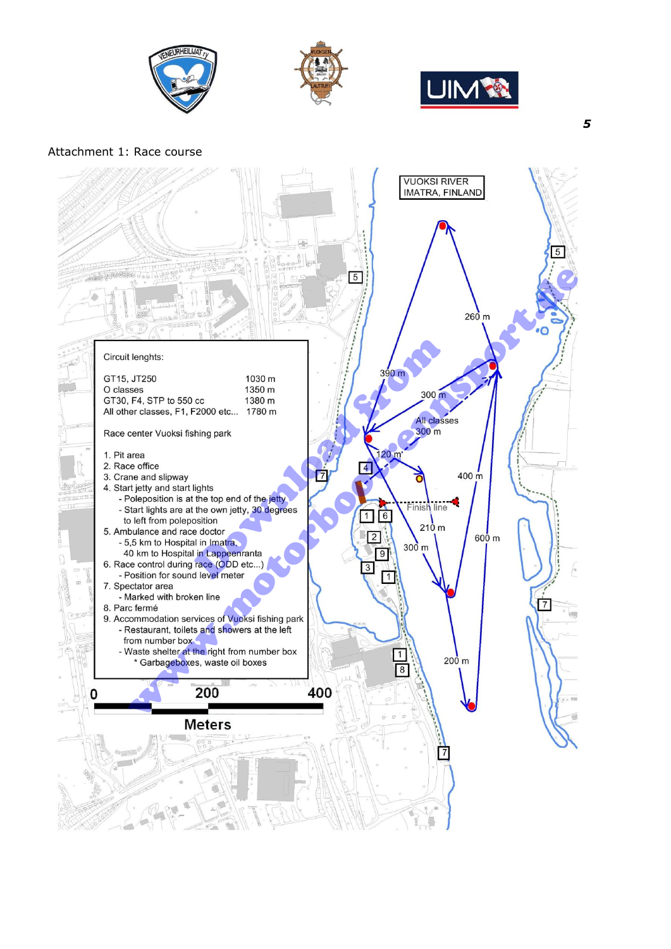





### Attachment 1: Race course



 *5*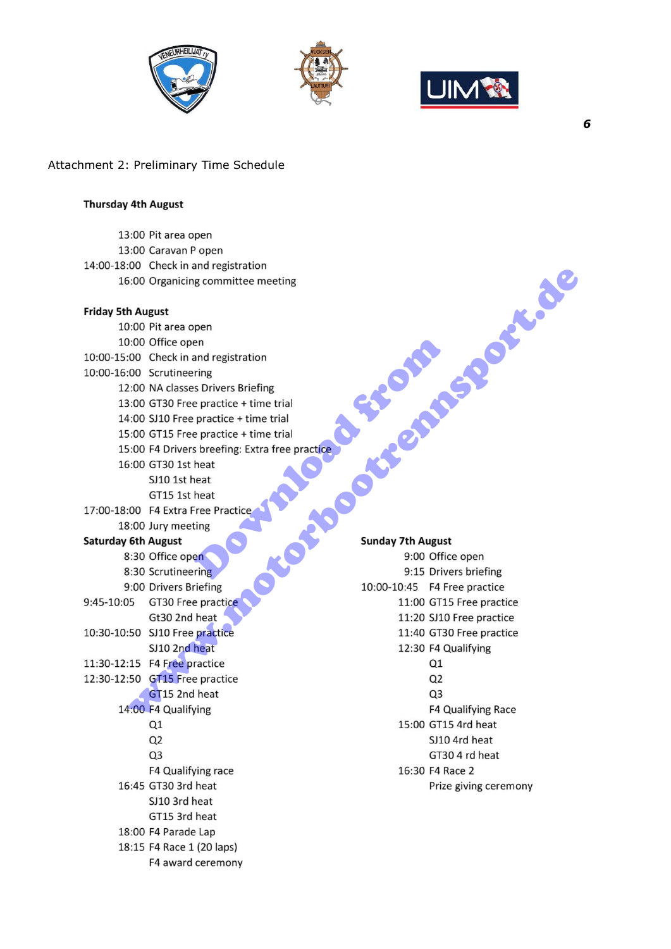





# Attachment 2: Preliminary Time Schedule

#### **Thursday 4th August**

|                            | 13:00 Pit area open                            |                          |                                    |
|----------------------------|------------------------------------------------|--------------------------|------------------------------------|
|                            | 13:00 Caravan P open                           |                          |                                    |
|                            | 14:00-18:00 Check in and registration          |                          |                                    |
|                            | 16:00 Organicing committee meeting             |                          |                                    |
|                            |                                                |                          | <b>Postage</b>                     |
| <b>Friday 5th August</b>   |                                                |                          |                                    |
|                            | 10:00 Pit area open                            |                          |                                    |
|                            | 10:00 Office open                              |                          |                                    |
|                            | 10:00-15:00 Check in and registration          |                          |                                    |
|                            | 10:00-16:00 Scrutineering                      |                          |                                    |
|                            | 12:00 NA classes Drivers Briefing              |                          |                                    |
|                            | 13:00 GT30 Free practice + time trial          |                          |                                    |
|                            | 14:00 SJ10 Free practice + time trial          |                          |                                    |
|                            | 15:00 GT15 Free practice + time trial          |                          |                                    |
|                            | 15:00 F4 Drivers breefing: Extra free practice |                          |                                    |
|                            | 16:00 GT30 1st heat                            |                          |                                    |
|                            | SJ10 1st heat                                  |                          |                                    |
|                            | GT15 1st heat                                  |                          |                                    |
|                            | 17:00-18:00 F4 Extra Free Practice             |                          |                                    |
|                            | 18:00 Jury meeting                             |                          |                                    |
| <b>Saturday 6th August</b> |                                                | <b>Sunday 7th August</b> |                                    |
|                            | 8:30 Office open                               |                          | 9:00 Office open                   |
|                            | 8:30 Scrutineering                             |                          | 9:15 Drivers briefing              |
|                            | 9:00 Drivers Briefing                          |                          | 10:00-10:45    F4    Free practice |
| 9:45-10:05                 | GT30 Free practice                             |                          | 11:00 GT15 Free practice           |
|                            | Gt30 2nd heat                                  |                          | 11:20 SJ10 Free practice           |
|                            | 10:30-10:50 SJ10 Free practice                 |                          | 11:40 GT30 Free practice           |
|                            | SJ10 2nd heat                                  |                          | 12:30 F4 Qualifying                |
|                            | 11:30-12:15 F4 Free practice                   |                          | Q1                                 |
|                            | 12:30-12:50 GT15 Free practice                 |                          | Q <sub>2</sub>                     |
|                            | GT15 2nd heat                                  |                          | Q <sub>3</sub>                     |
|                            | 14:00 F4 Qualifying                            |                          | F4 Qualifying Race                 |
|                            | Q1                                             |                          | 15:00 GT15 4rd heat                |
|                            | Q <sub>2</sub>                                 |                          | SJ10 4rd heat                      |
|                            | Q <sub>3</sub>                                 |                          | GT30 4 rd heat                     |
|                            | F4 Qualifying race                             |                          | 16:30 F4 Race 2                    |
|                            | 16:45 GT30 3rd heat                            |                          | Prize giving ceremony              |
|                            | SJ10 3rd heat                                  |                          |                                    |
|                            | GT15 3rd heat                                  |                          |                                    |
|                            | 18:00 F4 Parade Lap                            |                          |                                    |
|                            | 18:15 F4 Race 1 (20 laps)                      |                          |                                    |
|                            | F4 award ceremony                              |                          |                                    |
|                            |                                                |                          |                                    |